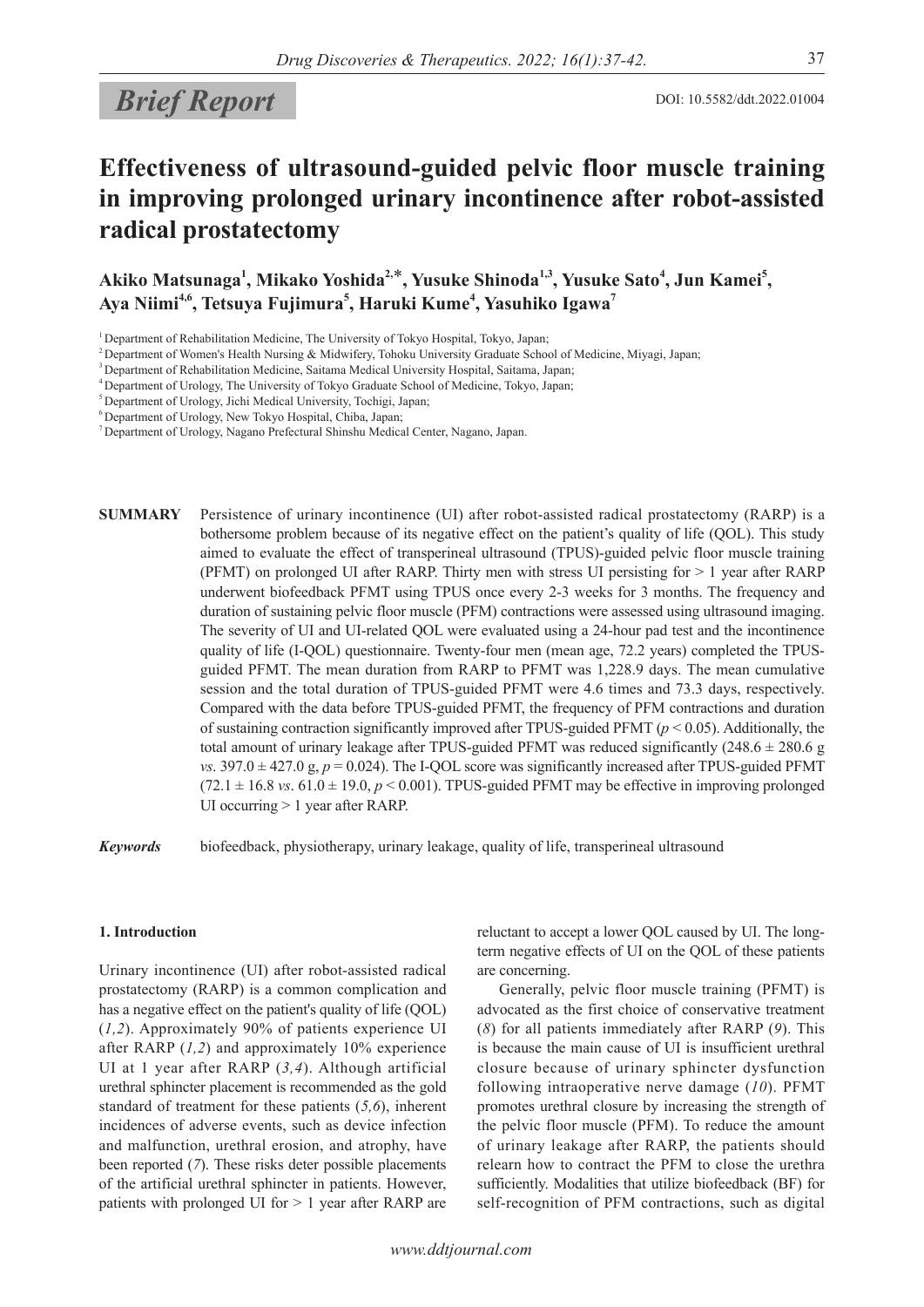# *Brief Report*

## **Effectiveness of ultrasound-guided pelvic floor muscle training in improving prolonged urinary incontinence after robot-assisted radical prostatectomy**

Akiko Matsunaga<sup>1</sup>, Mikako Yoshida<sup>2,\*</sup>, Yusuke Shinoda<sup>1,3</sup>, Yusuke Sato<sup>4</sup>, Jun Kamei<sup>5</sup>, **Aya Niimi4,6, Tetsuya Fujimura5 , Haruki Kume4 , Yasuhiko Igawa<sup>7</sup>**

**SUMMARY** Persistence of urinary incontinence (UI) after robot-assisted radical prostatectomy (RARP) is a bothersome problem because of its negative effect on the patient's quality of life (QOL). This study aimed to evaluate the effect of transperineal ultrasound (TPUS)-guided pelvic floor muscle training (PFMT) on prolonged UI after RARP. Thirty men with stress UI persisting for > 1 year after RARP underwent biofeedback PFMT using TPUS once every 2-3 weeks for 3 months. The frequency and duration of sustaining pelvic floor muscle (PFM) contractions were assessed using ultrasound imaging. The severity of UI and UI-related QOL were evaluated using a 24-hour pad test and the incontinence quality of life (I-QOL) questionnaire. Twenty-four men (mean age, 72.2 years) completed the TPUSguided PFMT. The mean duration from RARP to PFMT was 1,228.9 days. The mean cumulative session and the total duration of TPUS-guided PFMT were 4.6 times and 73.3 days, respectively. Compared with the data before TPUS-guided PFMT, the frequency of PFM contractions and duration of sustaining contraction significantly improved after TPUS-guided PFMT ( $p < 0.05$ ). Additionally, the total amount of urinary leakage after TPUS-guided PFMT was reduced significantly  $(248.6 \pm 280.6$  g *vs*. 397.0  $\pm$  427.0 g,  $p = 0.024$ ). The I-QOL score was significantly increased after TPUS-guided PFMT  $(72.1 \pm 16.8 \text{ vs. } 61.0 \pm 19.0, p < 0.001)$ . TPUS-guided PFMT may be effective in improving prolonged UI occurring > 1 year after RARP.

*Keywords* biofeedback, physiotherapy, urinary leakage, quality of life, transperineal ultrasound

## **1. Introduction**

Urinary incontinence (UI) after robot-assisted radical prostatectomy (RARP) is a common complication and has a negative effect on the patient's quality of life (QOL) (*1,2*). Approximately 90% of patients experience UI after RARP (*1,2*) and approximately 10% experience UI at 1 year after RARP (*3,4*). Although artificial urethral sphincter placement is recommended as the gold standard of treatment for these patients (*5,6*), inherent incidences of adverse events, such as device infection and malfunction, urethral erosion, and atrophy, have been reported (*7*). These risks deter possible placements of the artificial urethral sphincter in patients. However, patients with prolonged UI for > 1 year after RARP are

reluctant to accept a lower QOL caused by UI. The longterm negative effects of UI on the QOL of these patients are concerning.

Generally, pelvic floor muscle training (PFMT) is advocated as the first choice of conservative treatment (*8*) for all patients immediately after RARP (*9*). This is because the main cause of UI is insufficient urethral closure because of urinary sphincter dysfunction following intraoperative nerve damage (*10*). PFMT promotes urethral closure by increasing the strength of the pelvic floor muscle (PFM). To reduce the amount of urinary leakage after RARP, the patients should relearn how to contract the PFM to close the urethra sufficiently. Modalities that utilize biofeedback (BF) for self-recognition of PFM contractions, such as digital

<sup>&</sup>lt;sup>1</sup> Department of Rehabilitation Medicine, The University of Tokyo Hospital, Tokyo, Japan;

<sup>&</sup>lt;sup>2</sup> Department of Women's Health Nursing & Midwifery, Tohoku University Graduate School of Medicine, Miyagi, Japan;

<sup>&</sup>lt;sup>3</sup> Department of Rehabilitation Medicine, Saitama Medical University Hospital, Saitama, Japan;

<sup>&</sup>lt;sup>4</sup> Department of Urology, The University of Tokyo Graduate School of Medicine, Tokyo, Japan;

<sup>5</sup> Department of Urology, Jichi Medical University, Tochigi, Japan;

<sup>6</sup> Department of Urology, New Tokyo Hospital, Chiba, Japan;

<sup>7</sup> Department of Urology, Nagano Prefectural Shinshu Medical Center, Nagano, Japan.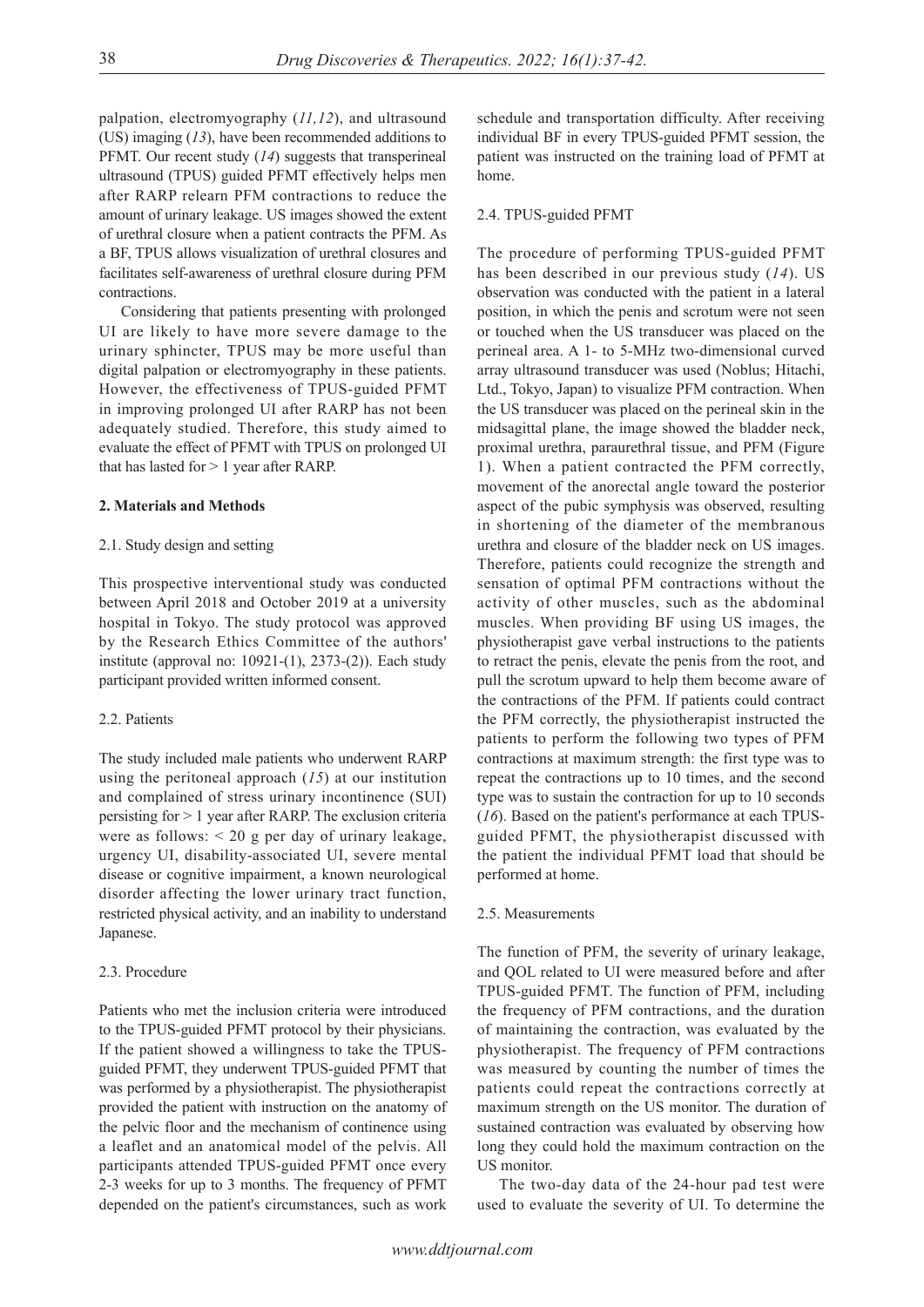palpation, electromyography (*11,12*), and ultrasound (US) imaging (*13*), have been recommended additions to PFMT. Our recent study (*14*) suggests that transperineal ultrasound (TPUS) guided PFMT effectively helps men after RARP relearn PFM contractions to reduce the amount of urinary leakage. US images showed the extent of urethral closure when a patient contracts the PFM. As a BF, TPUS allows visualization of urethral closures and facilitates self-awareness of urethral closure during PFM contractions.

Considering that patients presenting with prolonged UI are likely to have more severe damage to the urinary sphincter, TPUS may be more useful than digital palpation or electromyography in these patients. However, the effectiveness of TPUS-guided PFMT in improving prolonged UI after RARP has not been adequately studied. Therefore, this study aimed to evaluate the effect of PFMT with TPUS on prolonged UI that has lasted for > 1 year after RARP.

## **2. Materials and Methods**

## 2.1. Study design and setting

This prospective interventional study was conducted between April 2018 and October 2019 at a university hospital in Tokyo. The study protocol was approved by the Research Ethics Committee of the authors' institute (approval no: 10921-(1), 2373-(2)). Each study participant provided written informed consent.

## 2.2. Patients

The study included male patients who underwent RARP using the peritoneal approach (*15*) at our institution and complained of stress urinary incontinence (SUI) persisting for > 1 year after RARP. The exclusion criteria were as follows:  $<$  20 g per day of urinary leakage, urgency UI, disability-associated UI, severe mental disease or cognitive impairment, a known neurological disorder affecting the lower urinary tract function, restricted physical activity, and an inability to understand Japanese.

#### 2.3. Procedure

Patients who met the inclusion criteria were introduced to the TPUS-guided PFMT protocol by their physicians. If the patient showed a willingness to take the TPUSguided PFMT, they underwent TPUS-guided PFMT that was performed by a physiotherapist. The physiotherapist provided the patient with instruction on the anatomy of the pelvic floor and the mechanism of continence using a leaflet and an anatomical model of the pelvis. All participants attended TPUS-guided PFMT once every 2-3 weeks for up to 3 months. The frequency of PFMT depended on the patient's circumstances, such as work

schedule and transportation difficulty. After receiving individual BF in every TPUS-guided PFMT session, the patient was instructed on the training load of PFMT at home.

#### 2.4. TPUS-guided PFMT

The procedure of performing TPUS-guided PFMT has been described in our previous study (*14*). US observation was conducted with the patient in a lateral position, in which the penis and scrotum were not seen or touched when the US transducer was placed on the perineal area. A 1- to 5-MHz two-dimensional curved array ultrasound transducer was used (Noblus; Hitachi, Ltd., Tokyo, Japan) to visualize PFM contraction. When the US transducer was placed on the perineal skin in the midsagittal plane, the image showed the bladder neck, proximal urethra, paraurethral tissue, and PFM (Figure 1). When a patient contracted the PFM correctly, movement of the anorectal angle toward the posterior aspect of the pubic symphysis was observed, resulting in shortening of the diameter of the membranous urethra and closure of the bladder neck on US images. Therefore, patients could recognize the strength and sensation of optimal PFM contractions without the activity of other muscles, such as the abdominal muscles. When providing BF using US images, the physiotherapist gave verbal instructions to the patients to retract the penis, elevate the penis from the root, and pull the scrotum upward to help them become aware of the contractions of the PFM. If patients could contract the PFM correctly, the physiotherapist instructed the patients to perform the following two types of PFM contractions at maximum strength: the first type was to repeat the contractions up to 10 times, and the second type was to sustain the contraction for up to 10 seconds (*16*). Based on the patient's performance at each TPUSguided PFMT, the physiotherapist discussed with the patient the individual PFMT load that should be performed at home.

#### 2.5. Measurements

The function of PFM, the severity of urinary leakage, and QOL related to UI were measured before and after TPUS-guided PFMT. The function of PFM, including the frequency of PFM contractions, and the duration of maintaining the contraction, was evaluated by the physiotherapist. The frequency of PFM contractions was measured by counting the number of times the patients could repeat the contractions correctly at maximum strength on the US monitor. The duration of sustained contraction was evaluated by observing how long they could hold the maximum contraction on the US monitor.

The two-day data of the 24-hour pad test were used to evaluate the severity of UI. To determine the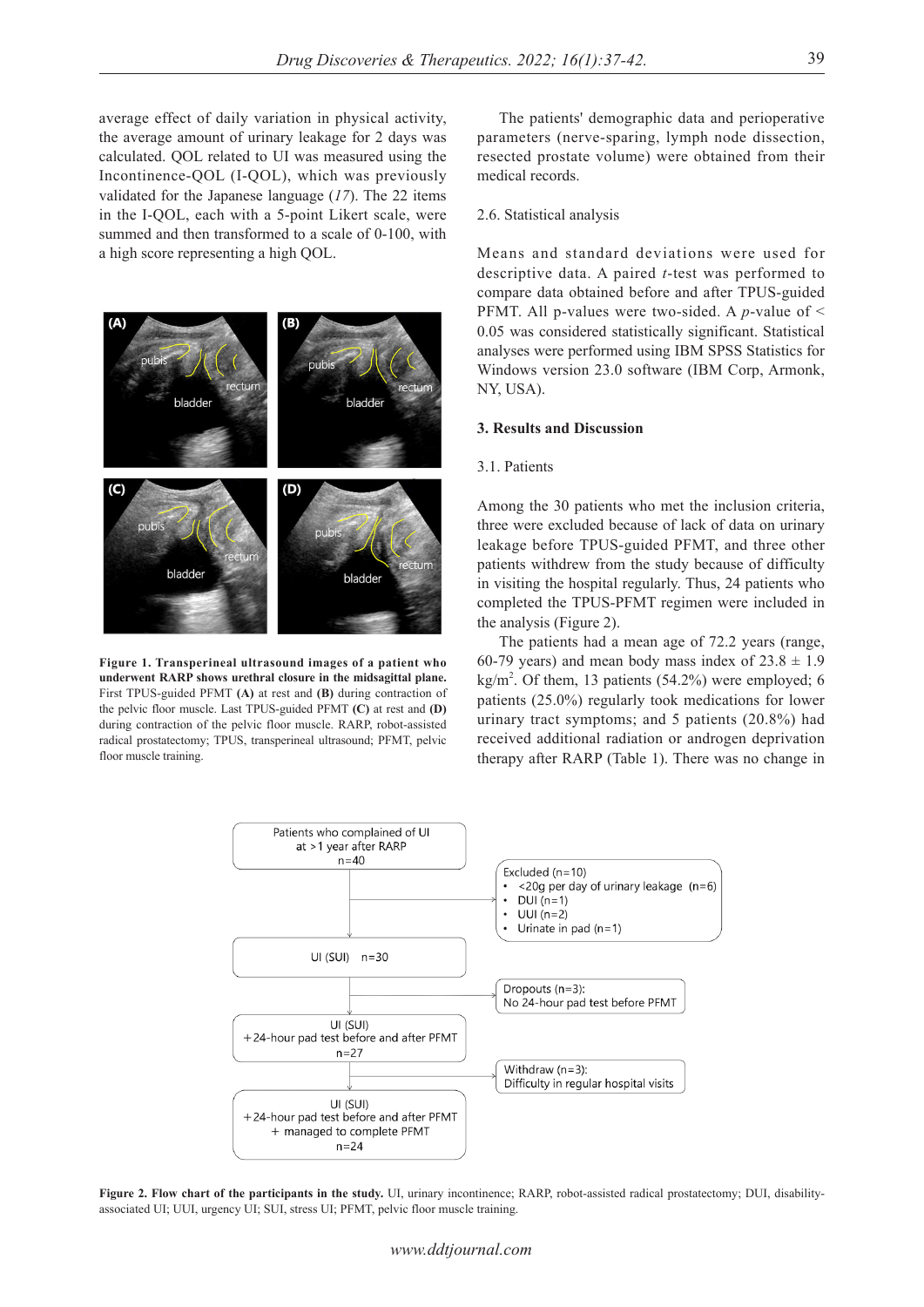average effect of daily variation in physical activity, the average amount of urinary leakage for 2 days was calculated. QOL related to UI was measured using the Incontinence-QOL (I-QOL), which was previously validated for the Japanese language (*17*). The 22 items in the I-QOL, each with a 5-point Likert scale, were summed and then transformed to a scale of 0-100, with a high score representing a high QOL.



**Figure 1. Transperineal ultrasound images of a patient who underwent RARP shows urethral closure in the midsagittal plane.**  First TPUS-guided PFMT **(A)** at rest and **(B)** during contraction of the pelvic floor muscle. Last TPUS-guided PFMT **(C)** at rest and **(D)** during contraction of the pelvic floor muscle. RARP, robot-assisted radical prostatectomy; TPUS, transperineal ultrasound; PFMT, pelvic floor muscle training.

The patients' demographic data and perioperative parameters (nerve-sparing, lymph node dissection, resected prostate volume) were obtained from their medical records.

## 2.6. Statistical analysis

Means and standard deviations were used for descriptive data. A paired *t*-test was performed to compare data obtained before and after TPUS-guided PFMT. All p-values were two-sided. A *p*-value of < 0.05 was considered statistically significant. Statistical analyses were performed using IBM SPSS Statistics for Windows version 23.0 software (IBM Corp, Armonk, NY, USA).

#### **3. Results and Discussion**

## 3.1. Patients

Among the 30 patients who met the inclusion criteria, three were excluded because of lack of data on urinary leakage before TPUS-guided PFMT, and three other patients withdrew from the study because of difficulty in visiting the hospital regularly. Thus, 24 patients who completed the TPUS-PFMT regimen were included in the analysis (Figure 2).

The patients had a mean age of 72.2 years (range, 60-79 years) and mean body mass index of  $23.8 \pm 1.9$ kg/m<sup>2</sup>. Of them, 13 patients (54.2%) were employed; 6 patients (25.0%) regularly took medications for lower urinary tract symptoms; and 5 patients (20.8%) had received additional radiation or androgen deprivation therapy after RARP (Table 1). There was no change in



**Figure 2. Flow chart of the participants in the study.** UI, urinary incontinence; RARP, robot-assisted radical prostatectomy; DUI, disabilityassociated UI; UUI, urgency UI; SUI, stress UI; PFMT, pelvic floor muscle training.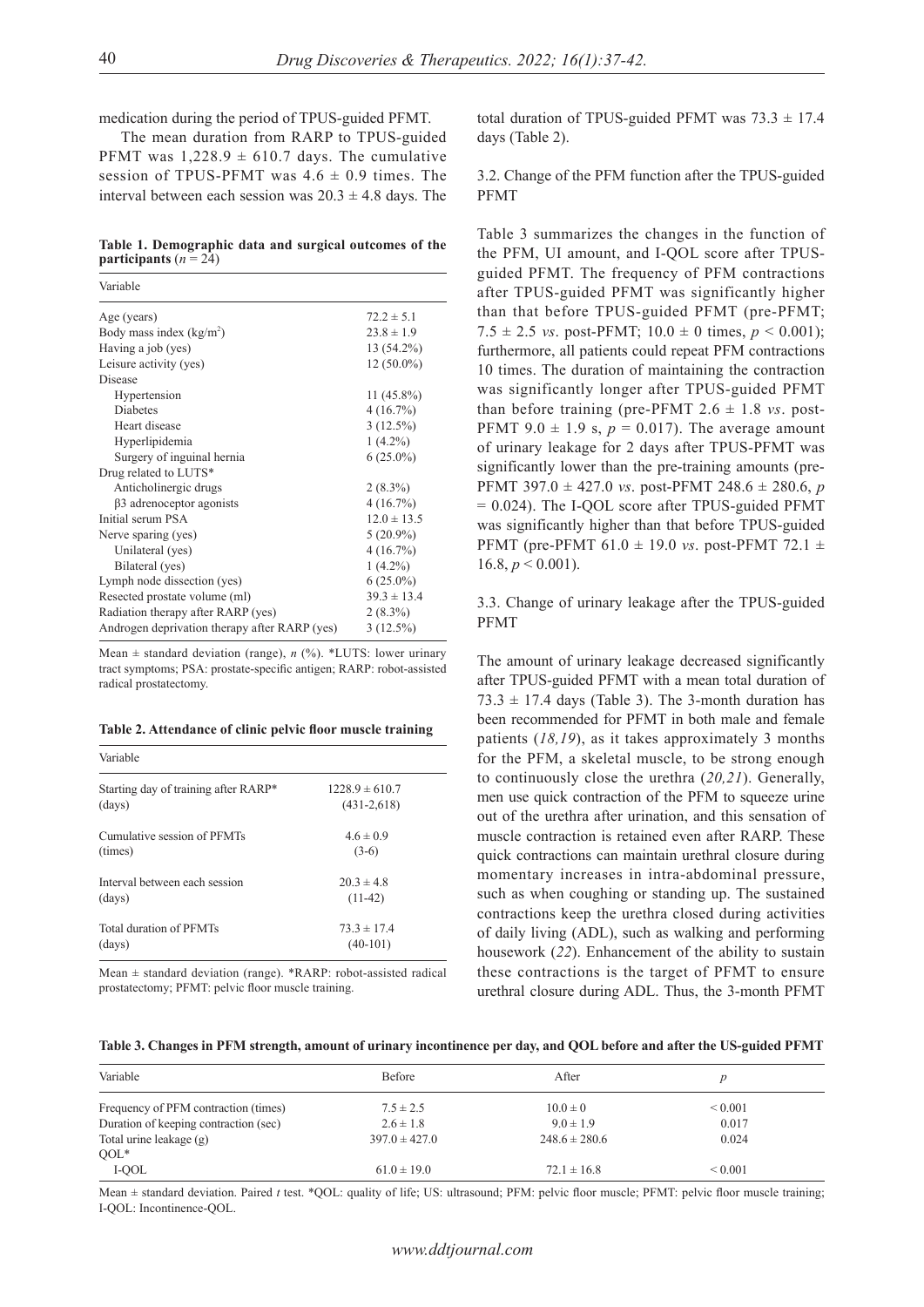medication during the period of TPUS-guided PFMT.

The mean duration from RARP to TPUS-guided PFMT was  $1,228.9 \pm 610.7$  days. The cumulative session of TPUS-PFMT was  $4.6 \pm 0.9$  times. The interval between each session was  $20.3 \pm 4.8$  days. The

**Table 1. Demographic data and surgical outcomes of the participants**  $(n = 24)$ 

| Variable                                      |                 |  |  |
|-----------------------------------------------|-----------------|--|--|
| Age (years)                                   | $72.2 \pm 5.1$  |  |  |
| Body mass index $(kg/m2)$                     | $23.8 \pm 1.9$  |  |  |
| Having a job (yes)                            | 13 (54.2%)      |  |  |
| Leisure activity (yes)                        | $12(50.0\%)$    |  |  |
| Disease                                       |                 |  |  |
| Hypertension                                  | $11(45.8\%)$    |  |  |
| <b>Diabetes</b>                               | 4(16.7%)        |  |  |
| Heart disease                                 | $3(12.5\%)$     |  |  |
| Hyperlipidemia                                | $1(4.2\%)$      |  |  |
| Surgery of inguinal hernia                    | $6(25.0\%)$     |  |  |
| Drug related to LUTS*                         |                 |  |  |
| Anticholinergic drugs                         | $2(8.3\%)$      |  |  |
| $\beta$ 3 adrenoceptor agonists               | $4(16.7\%)$     |  |  |
| Initial serum PSA                             | $12.0 \pm 13.5$ |  |  |
| Nerve sparing (yes)                           | $5(20.9\%)$     |  |  |
| Unilateral (yes)                              | 4(16.7%)        |  |  |
| Bilateral (yes)                               | $1(4.2\%)$      |  |  |
| Lymph node dissection (yes)                   | $6(25.0\%)$     |  |  |
| Resected prostate volume (ml)                 | $39.3 \pm 13.4$ |  |  |
| Radiation therapy after RARP (yes)            | $2(8.3\%)$      |  |  |
| Androgen deprivation therapy after RARP (yes) | $3(12.5\%)$     |  |  |

Mean  $\pm$  standard deviation (range), *n* (%). \*LUTS: lower urinary tract symptoms; PSA: prostate-specific antigen; RARP: robot-assisted radical prostatectomy.

| Variable                             |                    |
|--------------------------------------|--------------------|
| Starting day of training after RARP* | $1228.9 \pm 610.7$ |
| (days)                               | $(431 - 2, 618)$   |
| Cumulative session of PFMTs          | $4.6 \pm 0.9$      |
| (times)                              | $(3-6)$            |
| Interval between each session        | $20.3 \pm 4.8$     |
| (days)                               | $(11-42)$          |
| Total duration of PFMTs              | $73.3 \pm 17.4$    |
| (days)                               | $(40-101)$         |

Mean ± standard deviation (range). \*RARP: robot-assisted radical prostatectomy; PFMT: pelvic floor muscle training.

total duration of TPUS-guided PFMT was  $73.3 \pm 17.4$ days (Table 2).

3.2. Change of the PFM function after the TPUS-guided PFMT

Table 3 summarizes the changes in the function of the PFM, UI amount, and I-QOL score after TPUSguided PFMT. The frequency of PFM contractions after TPUS-guided PFMT was significantly higher than that before TPUS-guided PFMT (pre-PFMT; 7.5  $\pm$  2.5 *vs.* post-PFMT; 10.0  $\pm$  0 times, *p* < 0.001); furthermore, all patients could repeat PFM contractions 10 times. The duration of maintaining the contraction was significantly longer after TPUS-guided PFMT than before training (pre-PFMT  $2.6 \pm 1.8$  *vs.* post-**PFMT** 9.0  $\pm$  1.9 s,  $p = 0.017$ ). The average amount of urinary leakage for 2 days after TPUS-PFMT was significantly lower than the pre-training amounts (pre-PFMT 397.0 ± 427.0 *vs*. post-PFMT 248.6 ± 280.6, *p* = 0.024). The I-QOL score after TPUS-guided PFMT was significantly higher than that before TPUS-guided PFMT (pre-PFMT 61.0 ± 19.0 *vs*. post-PFMT 72.1 ± 16.8,  $p < 0.001$ ).

3.3. Change of urinary leakage after the TPUS-guided PFMT

The amount of urinary leakage decreased significantly after TPUS-guided PFMT with a mean total duration of  $73.3 \pm 17.4$  days (Table 3). The 3-month duration has been recommended for PFMT in both male and female patients (*18,19*), as it takes approximately 3 months for the PFM, a skeletal muscle, to be strong enough to continuously close the urethra (*20,21*). Generally, men use quick contraction of the PFM to squeeze urine out of the urethra after urination, and this sensation of muscle contraction is retained even after RARP. These quick contractions can maintain urethral closure during momentary increases in intra-abdominal pressure, such as when coughing or standing up. The sustained contractions keep the urethra closed during activities of daily living (ADL), such as walking and performing housework (*22*). Enhancement of the ability to sustain these contractions is the target of PFMT to ensure urethral closure during ADL. Thus, the 3-month PFMT

|  |  |  | Table 3. Changes in PFM strength, amount of urinary incontinence per day, and QOL before and after the US-guided PFMT |
|--|--|--|-----------------------------------------------------------------------------------------------------------------------|
|  |  |  |                                                                                                                       |

| Variable                              | <b>Before</b>     | After             | p            |
|---------------------------------------|-------------------|-------------------|--------------|
| Frequency of PFM contraction (times)  | $7.5 \pm 2.5$     | $10.0 \pm 0$      | ${}_{0.001}$ |
| Duration of keeping contraction (sec) | $2.6 \pm 1.8$     | $9.0 \pm 1.9$     | 0.017        |
| Total urine leakage $(g)$             | $397.0 \pm 427.0$ | $248.6 \pm 280.6$ | 0.024        |
| $OOL*$                                |                   |                   |              |
| I-QOL                                 | $61.0 \pm 19.0$   | $72.1 \pm 16.8$   | ${}_{0.001}$ |

Mean  $\pm$  standard deviation. Paired *t* test. \*QOL: quality of life; US: ultrasound; PFM: pelvic floor muscle; PFMT: pelvic floor muscle training; I-QOL: Incontinence-QOL.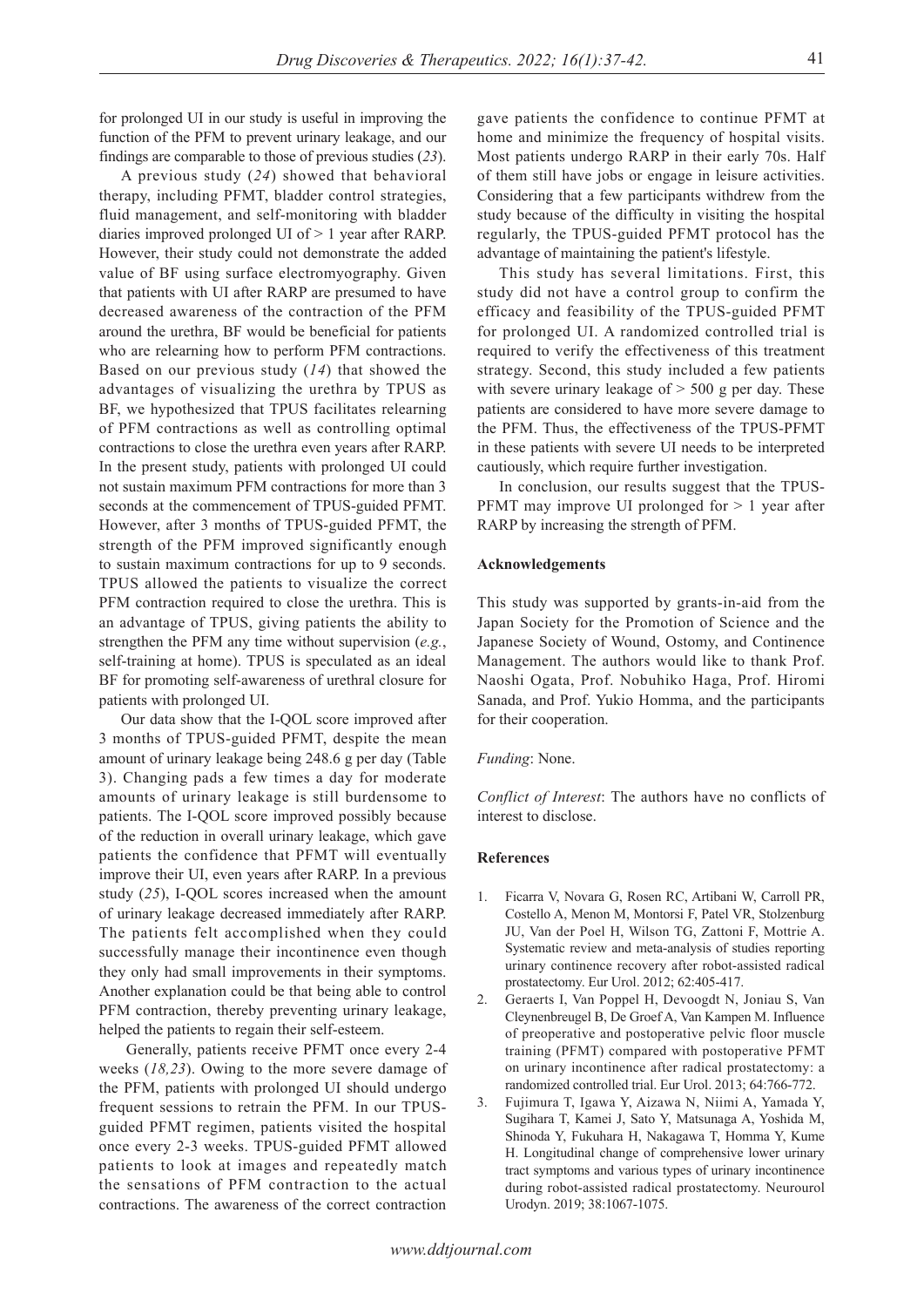for prolonged UI in our study is useful in improving the function of the PFM to prevent urinary leakage, and our findings are comparable to those of previous studies (*23*).

A previous study (*24*) showed that behavioral therapy, including PFMT, bladder control strategies, fluid management, and self-monitoring with bladder diaries improved prolonged UI of > 1 year after RARP. However, their study could not demonstrate the added value of BF using surface electromyography. Given that patients with UI after RARP are presumed to have decreased awareness of the contraction of the PFM around the urethra, BF would be beneficial for patients who are relearning how to perform PFM contractions. Based on our previous study (*14*) that showed the advantages of visualizing the urethra by TPUS as BF, we hypothesized that TPUS facilitates relearning of PFM contractions as well as controlling optimal contractions to close the urethra even years after RARP. In the present study, patients with prolonged UI could not sustain maximum PFM contractions for more than 3 seconds at the commencement of TPUS-guided PFMT. However, after 3 months of TPUS-guided PFMT, the strength of the PFM improved significantly enough to sustain maximum contractions for up to 9 seconds. TPUS allowed the patients to visualize the correct PFM contraction required to close the urethra. This is an advantage of TPUS, giving patients the ability to strengthen the PFM any time without supervision (*e.g.*, self-training at home). TPUS is speculated as an ideal BF for promoting self-awareness of urethral closure for patients with prolonged UI.

Our data show that the I-QOL score improved after 3 months of TPUS-guided PFMT, despite the mean amount of urinary leakage being 248.6 g per day (Table 3). Changing pads a few times a day for moderate amounts of urinary leakage is still burdensome to patients. The I-QOL score improved possibly because of the reduction in overall urinary leakage, which gave patients the confidence that PFMT will eventually improve their UI, even years after RARP. In a previous study (*25*), I-QOL scores increased when the amount of urinary leakage decreased immediately after RARP. The patients felt accomplished when they could successfully manage their incontinence even though they only had small improvements in their symptoms. Another explanation could be that being able to control PFM contraction, thereby preventing urinary leakage, helped the patients to regain their self-esteem.

 Generally, patients receive PFMT once every 2-4 weeks (*18,23*). Owing to the more severe damage of the PFM, patients with prolonged UI should undergo frequent sessions to retrain the PFM. In our TPUSguided PFMT regimen, patients visited the hospital once every 2-3 weeks. TPUS-guided PFMT allowed patients to look at images and repeatedly match the sensations of PFM contraction to the actual contractions. The awareness of the correct contraction

gave patients the confidence to continue PFMT at home and minimize the frequency of hospital visits. Most patients undergo RARP in their early 70s. Half of them still have jobs or engage in leisure activities. Considering that a few participants withdrew from the study because of the difficulty in visiting the hospital regularly, the TPUS-guided PFMT protocol has the advantage of maintaining the patient's lifestyle.

This study has several limitations. First, this study did not have a control group to confirm the efficacy and feasibility of the TPUS-guided PFMT for prolonged UI. A randomized controlled trial is required to verify the effectiveness of this treatment strategy. Second, this study included a few patients with severe urinary leakage of  $> 500$  g per day. These patients are considered to have more severe damage to the PFM. Thus, the effectiveness of the TPUS-PFMT in these patients with severe UI needs to be interpreted cautiously, which require further investigation.

In conclusion, our results suggest that the TPUS-PFMT may improve UI prolonged for  $> 1$  year after RARP by increasing the strength of PFM.

#### **Acknowledgements**

This study was supported by grants-in-aid from the Japan Society for the Promotion of Science and the Japanese Society of Wound, Ostomy, and Continence Management. The authors would like to thank Prof. Naoshi Ogata, Prof. Nobuhiko Haga, Prof. Hiromi Sanada, and Prof. Yukio Homma, and the participants for their cooperation.

#### *Funding*: None.

*Conflict of Interest*: The authors have no conflicts of interest to disclose.

## **References**

- 1. Ficarra V, Novara G, Rosen RC, Artibani W, Carroll PR, Costello A, Menon M, Montorsi F, Patel VR, Stolzenburg JU, Van der Poel H, Wilson TG, Zattoni F, Mottrie A. Systematic review and meta-analysis of studies reporting urinary continence recovery after robot-assisted radical prostatectomy. Eur Urol. 2012; 62:405-417.
- 2. Geraerts I, Van Poppel H, Devoogdt N, Joniau S, Van Cleynenbreugel B, De Groef A, Van Kampen M. Influence of preoperative and postoperative pelvic floor muscle training (PFMT) compared with postoperative PFMT on urinary incontinence after radical prostatectomy: a randomized controlled trial. Eur Urol. 2013; 64:766-772.
- 3. Fujimura T, Igawa Y, Aizawa N, Niimi A, Yamada Y, Sugihara T, Kamei J, Sato Y, Matsunaga A, Yoshida M, Shinoda Y, Fukuhara H, Nakagawa T, Homma Y, Kume H. Longitudinal change of comprehensive lower urinary tract symptoms and various types of urinary incontinence during robot-assisted radical prostatectomy. Neurourol Urodyn. 2019; 38:1067-1075.